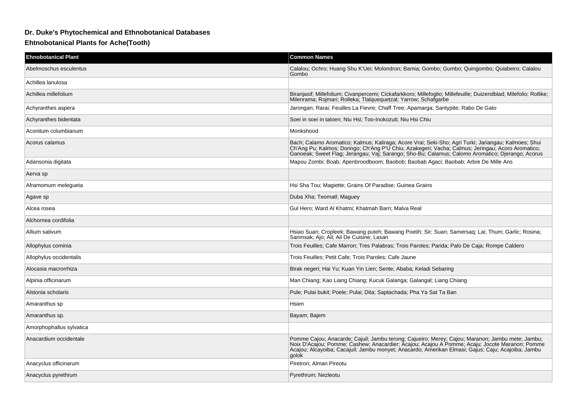## **Dr. Duke's Phytochemical and Ethnobotanical Databases**

**Ehtnobotanical Plants for Ache(Tooth)**

| <b>Ehnobotanical Plant</b> | <b>Common Names</b>                                                                                                                                                                                                                                                                                               |
|----------------------------|-------------------------------------------------------------------------------------------------------------------------------------------------------------------------------------------------------------------------------------------------------------------------------------------------------------------|
| Abelmoschus esculentus     | Calalou; Ochro; Huang Shu K'Uei; Molondron; Bamia; Gombo; Gumbo; Quingombo; Quiabeiro; Calalou<br>Gombo                                                                                                                                                                                                           |
| Achillea lanulosa          |                                                                                                                                                                                                                                                                                                                   |
| Achillea millefolium       | Biranjasif; Millefolium; Civanpercemi; Cickafarkkoro; Millefoglio; Millefeuille; Duizendblad; Milefolio; Rollike;<br>Milenrama, Rojmari, Rolleka, Tlalquequetzal, Yarrow, Schafgarbe                                                                                                                              |
| Achyranthes aspera         | Jarongan; Rarai; Feuilles La Fievre; Chaff Tree; Apamarga; Santypite; Rabo De Gato                                                                                                                                                                                                                                |
| Achyranthes bidentata      | Soei in soei in taloen; Niu Hsi; Too-Inokozuti; Niu Hsi Chiu                                                                                                                                                                                                                                                      |
| Aconitum columbianum       | Monkshood                                                                                                                                                                                                                                                                                                         |
| Acorus calamus             | Bach; Calamo Aromatico; Kalmus; Kaliraga; Acore Vrai; Seki-Sho; Agri Turki; Jariangau; Kalmoes; Shui<br>Ch'Ang Pu; Kalmos; Doringo; Ch'Ang P'U Chiu; Azakegeri; Vacha; Calmus; Jeringau; Acoro Aromatico;<br>Ganoeak; Sweet Flag; Jerangau; Vaj; Sarango; Sho-Bu; Calamus; Calomo Aromatico; Djerango; Acorus     |
| Adansonia digitata         | Mapou Zombi; Boab; Apenbroodboom; Baobob; Baobab Agaci; Baobab; Arbre De Mille Ans                                                                                                                                                                                                                                |
| Aerva sp                   |                                                                                                                                                                                                                                                                                                                   |
| Aframomum melegueta        | Hsi Sha Tou; Magiette; Grains Of Paradise; Guinea Grains                                                                                                                                                                                                                                                          |
| Agave sp                   | Duba Xha; Teomatl; Maguey                                                                                                                                                                                                                                                                                         |
| Alcea rosea                | Gul Hero; Ward Al Khatmi; Khatmah Barri; Malva Real                                                                                                                                                                                                                                                               |
| Alchornea cordifolia       |                                                                                                                                                                                                                                                                                                                   |
| Allium sativum             | Hsiao Suan; Cropleek; Bawang puteh; Bawang Poetih; Sir; Suan; Samersaq; Lai; Thum; Garlic; Rosina;<br>Sarimsak; Ajo; Ail; Ail De Cuisine; Lasan                                                                                                                                                                   |
| Allophylus cominia         | Trois Feuilles: Cafe Marron: Tres Palabras: Trois Paroles: Parida: Palo De Caja: Rompe Caldero                                                                                                                                                                                                                    |
| Allophylus occidentalis    | Trois Feuilles; Petit Cafe; Trois Paroles; Cafe Jaune                                                                                                                                                                                                                                                             |
| Alocasia macrorrhiza       | Birak negeri; Hai Yu; Kuan Yin Lien; Sente; Ababa; Keladi Sebaring                                                                                                                                                                                                                                                |
| Alpinia officinarum        | Man Chiang; Kao Liang Chiang; Kucuk Galanga; Galangal; Liang Chiang                                                                                                                                                                                                                                               |
| Alstonia scholaris         | Pule; Pulai bukit; Poele; Pulai; Dita; Saptachada; Pha Ya Sat Ta Ban                                                                                                                                                                                                                                              |
| Amaranthus sp              | <b>Hsien</b>                                                                                                                                                                                                                                                                                                      |
| Amaranthus sp.             | Bayam; Bajem                                                                                                                                                                                                                                                                                                      |
| Amorphophallus sylvatica   |                                                                                                                                                                                                                                                                                                                   |
| Anacardium occidentale     | Pomme Cajou; Anacarde; Cajuil; Jambu terong; Cajueiro; Merey; Cajou; Maranon; Jambu mete; Jambu;<br>Noix D'Acajou; Pomme; Cashew; Anacardier; Acajou; Acajou A Pomme; Acaju; Jocote Maranon; Pomme<br>Acajou; Alcayoiba; Cacajuil; Jambu monyet; Anacardo; Amerikan Elmasi; Gajus; Caju; Acajoiba; Jambu<br>aolok |
| Anacyclus officinarum      | Piretron; Alman Pireotu                                                                                                                                                                                                                                                                                           |
| Anacyclus pyrethrum        | Pyrethrum; Nezleotu                                                                                                                                                                                                                                                                                               |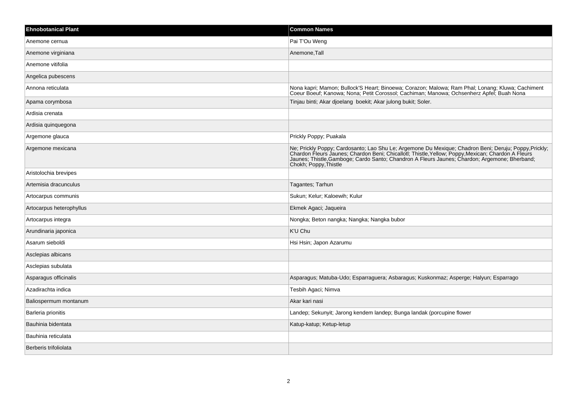| <b>Ehnobotanical Plant</b> | <b>Common Names</b>                                                                                                                                                                                                                                                                                                                |
|----------------------------|------------------------------------------------------------------------------------------------------------------------------------------------------------------------------------------------------------------------------------------------------------------------------------------------------------------------------------|
| Anemone cernua             | Pai T'Ou Weng                                                                                                                                                                                                                                                                                                                      |
| Anemone virginiana         | Anemone, Tall                                                                                                                                                                                                                                                                                                                      |
| Anemone vitifolia          |                                                                                                                                                                                                                                                                                                                                    |
| Angelica pubescens         |                                                                                                                                                                                                                                                                                                                                    |
| Annona reticulata          | Nona kapri; Mamon; Bullock'S Heart; Binoewa; Corazon; Malowa; Ram Phal; Lonang; Kluwa; Cachiment<br>Coeur Boeuf; Kanowa; Nona; Petit Corossol; Cachiman; Manowa; Ochsenherz Apfel; Buah Nona                                                                                                                                       |
| Apama corymbosa            | Tinjau binti; Akar djoelang boekit; Akar julong bukit; Soler.                                                                                                                                                                                                                                                                      |
| Ardisia crenata            |                                                                                                                                                                                                                                                                                                                                    |
| Ardisia quinquegona        |                                                                                                                                                                                                                                                                                                                                    |
| Argemone glauca            | Prickly Poppy; Puakala                                                                                                                                                                                                                                                                                                             |
| Argemone mexicana          | Ne; Prickly Poppy; Cardosanto; Lao Shu Le; Argemone Du Mexique; Chadron Beni; Deruju; Poppy, Prickly; Chardon Fleurs Jaunes; Chardon Beni; Chicallot!; Thistle, Yellow; Poppy, Mexican; Chardon A Fleurs<br>Jaunes; Thistle, Gamboge; Cardo Santo; Chandron A Fleurs Jaunes; Chardon; Argemone; Bherband;<br>Chokh; Poppy, Thistle |
| Aristolochia brevipes      |                                                                                                                                                                                                                                                                                                                                    |
| Artemisia dracunculus      | Tagantes; Tarhun                                                                                                                                                                                                                                                                                                                   |
| Artocarpus communis        | Sukun; Kelur; Kaloewih; Kulur                                                                                                                                                                                                                                                                                                      |
| Artocarpus heterophyllus   | Ekmek Agaci; Jaqueira                                                                                                                                                                                                                                                                                                              |
| Artocarpus integra         | Nongka; Beton nangka; Nangka; Nangka bubor                                                                                                                                                                                                                                                                                         |
| Arundinaria japonica       | K'U Chu                                                                                                                                                                                                                                                                                                                            |
| Asarum sieboldi            | Hsi Hsin; Japon Azarumu                                                                                                                                                                                                                                                                                                            |
| Asclepias albicans         |                                                                                                                                                                                                                                                                                                                                    |
| Asclepias subulata         |                                                                                                                                                                                                                                                                                                                                    |
| Asparagus officinalis      | Asparagus; Matuba-Udo; Esparraguera; Asbaragus; Kuskonmaz; Asperge; Halyun; Esparrago                                                                                                                                                                                                                                              |
| Azadirachta indica         | Tesbih Agaci; Nimva                                                                                                                                                                                                                                                                                                                |
| Baliospermum montanum      | Akar kari nasi                                                                                                                                                                                                                                                                                                                     |
| Barleria prionitis         | Landep; Sekunyit; Jarong kendem landep; Bunga landak (porcupine flower                                                                                                                                                                                                                                                             |
| Bauhinia bidentata         | Katup-katup; Ketup-letup                                                                                                                                                                                                                                                                                                           |
| Bauhinia reticulata        |                                                                                                                                                                                                                                                                                                                                    |
| Berberis trifoliolata      |                                                                                                                                                                                                                                                                                                                                    |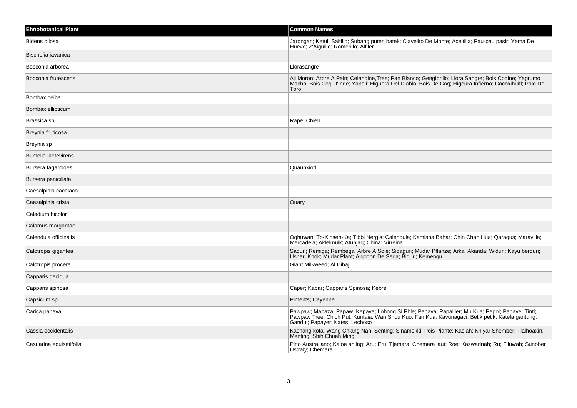| <b>Ehnobotanical Plant</b> | <b>Common Names</b>                                                                                                                                                                                                                    |
|----------------------------|----------------------------------------------------------------------------------------------------------------------------------------------------------------------------------------------------------------------------------------|
| Bidens pilosa              | Jarongan; Ketul; Saltillo; Subang puteri batek; Clavelito De Monte; Aceitilla; Pau-pau pasir; Yema De<br>Huevo, Z'Aiguille, Romerillo, Alfiler                                                                                         |
| Bischofia javanica         |                                                                                                                                                                                                                                        |
| Bocconia arborea           | Llorasangre                                                                                                                                                                                                                            |
| Bocconia frutescens        | Aji Moron; Arbre A Pain; Celandine, Tree; Pan Blanco; Gengibrillo; Llora Sangre; Bois Codine; Yagrumo<br>Macho; Bois Coq D'Inde; Yanali; Higuera Del Diablo; Bois De Coq; Higeura Infierno; Cocoxihuitl; Palo De<br>Toro               |
| Bombax ceiba               |                                                                                                                                                                                                                                        |
| Bombax ellipticum          |                                                                                                                                                                                                                                        |
| Brassica sp                | Rape; Chieh                                                                                                                                                                                                                            |
| Breynia fruticosa          |                                                                                                                                                                                                                                        |
| Breynia sp                 |                                                                                                                                                                                                                                        |
| <b>Bumelia laetevirens</b> |                                                                                                                                                                                                                                        |
| Bursera fagaroides         | Quauhxiotl                                                                                                                                                                                                                             |
| Bursera penicillata        |                                                                                                                                                                                                                                        |
| Caesalpinia cacalaco       |                                                                                                                                                                                                                                        |
| Caesalpinia crista         | Ouary                                                                                                                                                                                                                                  |
| Caladium bicolor           |                                                                                                                                                                                                                                        |
| Calamus margaritae         |                                                                                                                                                                                                                                        |
| Calendula officinalis      | Oqhuwan; To-Kinsen-Ka; Tibbi Nergis; Calendula; Kamisha Bahar; Chin Chan Hua; Qaraqus; Maravilla;<br>Mercadela; Aklelmulk; Atunjag; China; Virreina                                                                                    |
| Calotropis gigantea        | Saduri; Remiga; Rembega; Arbre A Soie; Sidaguri; Mudar Pflanze; Arka; Akanda; Widuri; Kayu berduri;<br>Ushar, Khok, Mudar Plant, Algodon De Seda, Biduri, Kemengu                                                                      |
| Calotropis procera         | Giant Milkweed; Al Dibaj                                                                                                                                                                                                               |
| Capparis decidua           |                                                                                                                                                                                                                                        |
| Capparis spinosa           | Caper; Kabar; Capparis Spinosa; Kebre                                                                                                                                                                                                  |
| Capsicum sp                | Piments; Cayenne                                                                                                                                                                                                                       |
| Carica papaya              | Pawpaw; Mapaza; Papaw; Kepaya; Lohong Si Phle; Papaya; Papailler; Mu Kua; Pepol; Papaye; Tinti;<br>Pawpaw Tree; Chich Put; Kuntaia; Wan Shou Kuo; Fan Kua; Kavunagaci; Betik petik; Katela gantung;<br>Gandul; Papayer; Kates; Lechoso |
| Cassia occidentalis        | Kachang kota; Wang Chiang Nan; Senting; Sinamekki; Pois Piante; Kasiah; Khiyar Shember; Tlalhoaxin;<br>Menting; Shih Chueh Ming                                                                                                        |
| Casuarina equisetifolia    | Pino Australiano; Kajoe anjing; Aru; Eru; Tjemara; Chemara laut; Roe; Kazwarinah; Ru; Filuwah; Sunober<br>Ustraly; Chemara                                                                                                             |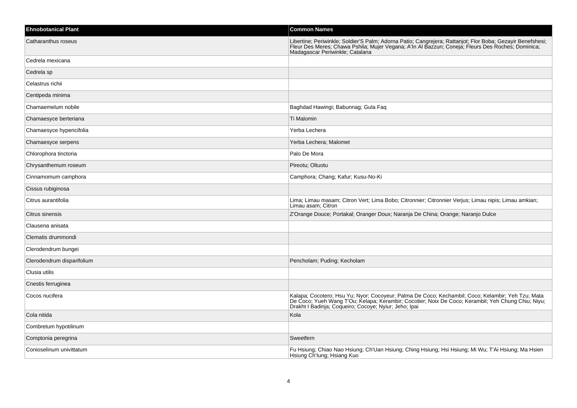| <b>Ehnobotanical Plant</b> | <b>Common Names</b>                                                                                                                                                                                                                                              |
|----------------------------|------------------------------------------------------------------------------------------------------------------------------------------------------------------------------------------------------------------------------------------------------------------|
| Catharanthus roseus        | Libertine; Periwinkle; Soldier'S Palm; Adorna Patio; Cangrejera; Rattanjot; Flor Boba; Gezayir Benefshesi;<br>Fleur Des Meres; Chawa Pshila; Mujer Vegana; A'ln Al Bazzun; Coneja; Fleurs Des Roches; Dominica;<br>Madagascar Periwinkle; Catalana               |
| Cedrela mexicana           |                                                                                                                                                                                                                                                                  |
| Cedrela sp                 |                                                                                                                                                                                                                                                                  |
| Celastrus richii           |                                                                                                                                                                                                                                                                  |
| Centipeda minima           |                                                                                                                                                                                                                                                                  |
| Chamaemelum nobile         | Baghdad Hawingi; Babunnag; Gula Faq                                                                                                                                                                                                                              |
| Chamaesyce berteriana      | Ti Malomin                                                                                                                                                                                                                                                       |
| Chamaesyce hypericifolia   | Yerba Lechera                                                                                                                                                                                                                                                    |
| Chamaesyce serpens         | Yerba Lechera; Malomet                                                                                                                                                                                                                                           |
| Chlorophora tinctoria      | Palo De Mora                                                                                                                                                                                                                                                     |
| Chrysanthemum roseum       | Pireotu; Oltuotu                                                                                                                                                                                                                                                 |
| Cinnamomum camphora        | Camphora; Chang; Kafur; Kusu-No-Ki                                                                                                                                                                                                                               |
| Cissus rubiginosa          |                                                                                                                                                                                                                                                                  |
| Citrus aurantifolia        | Lima; Limau masam; Citron Vert; Lima Bobo; Citronnier; Citronnier Verjus; Limau nipis; Limau amkian;<br>Limau asam; Citron                                                                                                                                       |
| Citrus sinensis            | Z'Orange Douce; Portakal; Oranger Doux; Naranja De China; Orange; Naranjo Dulce                                                                                                                                                                                  |
| Clausena anisata           |                                                                                                                                                                                                                                                                  |
| Clematis drummondi         |                                                                                                                                                                                                                                                                  |
| Clerodendrum bungei        |                                                                                                                                                                                                                                                                  |
| Clerodendrum disparifolium | Pencholam; Puding; Kecholam                                                                                                                                                                                                                                      |
| Clusia utilis              |                                                                                                                                                                                                                                                                  |
| Cnestis ferruginea         |                                                                                                                                                                                                                                                                  |
| Cocos nucifera             | Kalapa; Cocotero; Hsu Yu; Nyor; Cocoyeur; Palma De Coco; Kechambil; Coco; Kelambir; Yeh Tzu; Mata<br>De Coco; Yueh Wang T'Ou; Kelapa; Kerambir; Cocotier; Noix De Coco; Kerambil; Yeh Chung Chiu; Niyu;<br>Drakht I Badinja; Coqueiro; Cocoye; Nyiur; Jeho; Ipai |
| Cola nitida                | Kola                                                                                                                                                                                                                                                             |
| Combretum hypotilinum      |                                                                                                                                                                                                                                                                  |
| Comptonia peregrina        | Sweetfern                                                                                                                                                                                                                                                        |
| Conioselinum univittatum   | Fu Hsiung; Chiao Nao Hsiung; Ch'Uan Hsiung; Ching Hsiung; Hsi Hsiung; Mi Wu; T'Ai Hsiung; Ma Hsien<br>Hsiung Ch'lung; Hsiang Kuo                                                                                                                                 |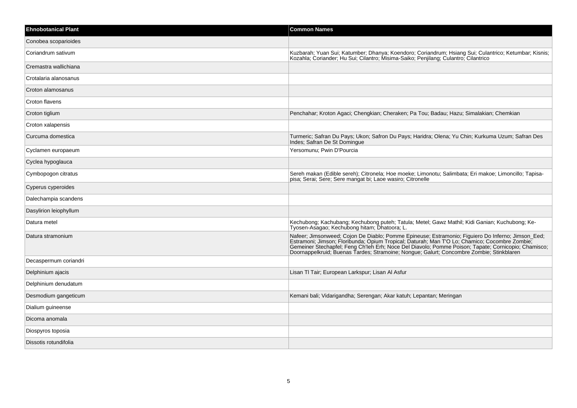| <b>Ehnobotanical Plant</b> | <b>Common Names</b>                                                                                                                                                                                                                                                                                                                                                                                   |
|----------------------------|-------------------------------------------------------------------------------------------------------------------------------------------------------------------------------------------------------------------------------------------------------------------------------------------------------------------------------------------------------------------------------------------------------|
| Conobea scoparioides       |                                                                                                                                                                                                                                                                                                                                                                                                       |
| Coriandrum sativum         | Kuzbarah; Yuan Sui; Katumber; Dhanya; Koendoro; Coriandrum; Hsiang Sui; Culantrico; Ketumbar; Kisnis;<br>Kozahla; Coriander; Hu Sui; Cilantro; Misima-Saiko; Penjilang; Culantro; Cilantrico                                                                                                                                                                                                          |
| Cremastra wallichiana      |                                                                                                                                                                                                                                                                                                                                                                                                       |
| Crotalaria alanosanus      |                                                                                                                                                                                                                                                                                                                                                                                                       |
| Croton alamosanus          |                                                                                                                                                                                                                                                                                                                                                                                                       |
| Croton flavens             |                                                                                                                                                                                                                                                                                                                                                                                                       |
| Croton tiglium             | Penchahar; Kroton Agaci; Chengkian; Cheraken; Pa Tou; Badau; Hazu; Simalakian; Chemkian                                                                                                                                                                                                                                                                                                               |
| Croton xalapensis          |                                                                                                                                                                                                                                                                                                                                                                                                       |
| Curcuma domestica          | Turmeric; Safran Du Pays; Ukon; Safron Du Pays; Haridra; Olena; Yu Chin; Kurkuma Uzum; Safran Des<br>Indes; Safran De St Domingue                                                                                                                                                                                                                                                                     |
| Cyclamen europaeum         | Yersomunu; Pwin D'Pourcia                                                                                                                                                                                                                                                                                                                                                                             |
| Cyclea hypoglauca          |                                                                                                                                                                                                                                                                                                                                                                                                       |
| Cymbopogon citratus        | Sereh makan (Edible sereh); Citronela; Hoe moeke; Limonotu; Salimbata; Eri makoe; Limoncillo; Tapisa-<br>pisa; Serai; Sere; Sere mangat bi; Laoe wasiro; Citronelle                                                                                                                                                                                                                                   |
| Cyperus cyperoides         |                                                                                                                                                                                                                                                                                                                                                                                                       |
| Dalechampia scandens       |                                                                                                                                                                                                                                                                                                                                                                                                       |
| Dasylirion leiophyllum     |                                                                                                                                                                                                                                                                                                                                                                                                       |
| Datura metel               | Kechubong; Kachubang; Kechubong puteh; Tatula; Metel; Gawz Mathil; Kidi Ganian; Kuchubong; Ke-<br>Tyosen-Asagao; Kechubong hitam; Dhatoora; L.                                                                                                                                                                                                                                                        |
| Datura stramonium          | Nafeer; Jimsonweed; Cojon De Diablo; Pomme Epineuse; Estramonio; Figuiero Do Inferno; Jimson_Eed;<br>Estramoni; Jimson; Floribunda; Opium Tropical; Daturah; Man T'O Lo; Chamico; Cocombre Zombie;<br>Gemeiner Stechapfel; Feng Ch'len Ern; Noce Del Diavolo; Pomme Poison; Tapate; Cornicopio; Chamisco;<br>Doornappelkruid; Buenas Tardes; Stramoine; Nongue; Galurt; Concombre Zombie; Stinkblaren |
| Decaspermum coriandri      |                                                                                                                                                                                                                                                                                                                                                                                                       |
| Delphinium ajacis          | Lisan TI Tair; European Larkspur; Lisan Al Asfur                                                                                                                                                                                                                                                                                                                                                      |
| Delphinium denudatum       |                                                                                                                                                                                                                                                                                                                                                                                                       |
| Desmodium gangeticum       | Kemani bali; Vidarigandha; Serengan; Akar katuh; Lepantan; Meringan                                                                                                                                                                                                                                                                                                                                   |
| Dialium guineense          |                                                                                                                                                                                                                                                                                                                                                                                                       |
| Dicoma anomala             |                                                                                                                                                                                                                                                                                                                                                                                                       |
| Diospyros toposia          |                                                                                                                                                                                                                                                                                                                                                                                                       |
| Dissotis rotundifolia      |                                                                                                                                                                                                                                                                                                                                                                                                       |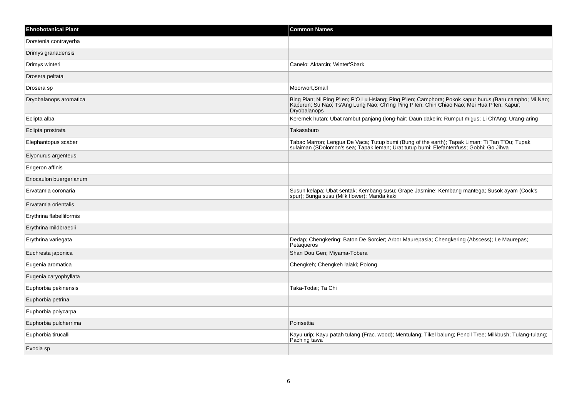| <b>Ehnobotanical Plant</b> | <b>Common Names</b>                                                                                                                                                                                                         |
|----------------------------|-----------------------------------------------------------------------------------------------------------------------------------------------------------------------------------------------------------------------------|
| Dorstenia contrayerba      |                                                                                                                                                                                                                             |
| Drimys granadensis         |                                                                                                                                                                                                                             |
| Drimys winteri             | Canelo; Aktarcin; Winter'Sbark                                                                                                                                                                                              |
| Drosera peltata            |                                                                                                                                                                                                                             |
| Drosera sp                 | Moorwort, Small                                                                                                                                                                                                             |
| Dryobalanops aromatica     | Bing Pian; Ni Ping P'len; P'O Lu Hsiang; Ping P'len; Camphora; Pokok kapur burus (Baru campho; Mi Nao;<br>Kapurun; Su Nao; Ts'Ang Lung Nao; Ch'Ing Ping P'len; Chin Chiao Nao; Mei Hua P'len; Kapur;<br><b>Dryobalanops</b> |
| Eclipta alba               | Keremek hutan; Ubat rambut panjang (long-hair; Daun dakelin; Rumput migus; Li Ch'Ang; Urang-aring                                                                                                                           |
| Eclipta prostrata          | Takasaburo                                                                                                                                                                                                                  |
| Elephantopus scaber        | Tabac Marron; Lengua De Vaca; Tutup bumi (Bung of the earth); Tapak Liman; Ti Tan T'Ou; Tupak<br>sulaiman (SDolomon's sea; Tapak leman; Urat tutup bumi; Elefantenfuss; Gobhi; Go Jihva                                     |
| Elyonurus argenteus        |                                                                                                                                                                                                                             |
| Erigeron affinis           |                                                                                                                                                                                                                             |
| Eriocaulon buergerianum    |                                                                                                                                                                                                                             |
| Ervatamia coronaria        | Susun kelapa; Ubat sentak; Kembang susu; Grape Jasmine; Kembang mantega; Susok ayam (Cock's<br>spur); Bunga susu (Milk flower); Manda kaki                                                                                  |
| Ervatamia orientalis       |                                                                                                                                                                                                                             |
| Erythrina flabelliformis   |                                                                                                                                                                                                                             |
| Erythrina mildbraedii      |                                                                                                                                                                                                                             |
| Erythrina variegata        | Dedap; Chengkering; Baton De Sorcier; Arbor Maurepasia; Chengkering (Abscess); Le Maurepas;<br>Petaqueros                                                                                                                   |
| Euchresta japonica         | Shan Dou Gen; Miyama-Tobera                                                                                                                                                                                                 |
| Eugenia aromatica          | Chengkeh; Chengkeh lalaki; Polong                                                                                                                                                                                           |
| Eugenia caryophyllata      |                                                                                                                                                                                                                             |
| Euphorbia pekinensis       | Taka-Todai; Ta Chi                                                                                                                                                                                                          |
| Euphorbia petrina          |                                                                                                                                                                                                                             |
| Euphorbia polycarpa        |                                                                                                                                                                                                                             |
| Euphorbia pulcherrima      | Poinsettia                                                                                                                                                                                                                  |
| Euphorbia tirucalli        | Kayu urip; Kayu patah tulang (Frac. wood); Mentulang; Tikel balung; Pencil Tree; Milkbush; Tulang-tulang;<br>Paching tawa                                                                                                   |
| Evodia sp                  |                                                                                                                                                                                                                             |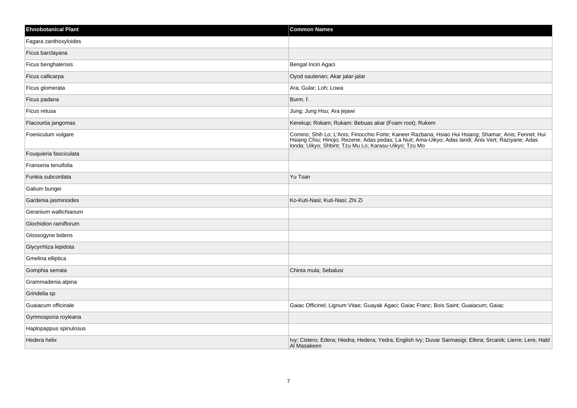| <b>Ehnobotanical Plant</b> | <b>Common Names</b>                                                                                                                                                                                                                                                  |
|----------------------------|----------------------------------------------------------------------------------------------------------------------------------------------------------------------------------------------------------------------------------------------------------------------|
| Fagara zanthoxyloides      |                                                                                                                                                                                                                                                                      |
| Ficus barclayana           |                                                                                                                                                                                                                                                                      |
| Ficus benghalensis         | Bengal Inciri Agaci                                                                                                                                                                                                                                                  |
| Ficus callicarpa           | Oyod sautenan; Akar jalar-jalar                                                                                                                                                                                                                                      |
| Ficus glomerata            | Ara; Gular; Loh; Lowa                                                                                                                                                                                                                                                |
| Ficus padana               | Burm. f.                                                                                                                                                                                                                                                             |
| Ficus retusa               | Jung; Jung Hsu; Ara jejawi                                                                                                                                                                                                                                           |
| Flacourtia jangomas        | Kerekup; Rokam; Rukam; Bebuas akar (Foam root); Rukem                                                                                                                                                                                                                |
| Foeniculum vulgare         | Comino; Shih Lo; L'Anis; Finocchio Forte; Kaneer Razbana; Hsiao Hui Hsiang; Shamar; Anis; Fennel; Hui<br>Hsiang Chiu; Hinojo; Rezene; Adas pedas; La Nuit; Ama-Uikyo; Adas landi; Anis Vert; Raziyane; Adas<br>londa, Uikyo; Shbint; Tzu Mu Lo; Karasu-Uikyo; Tzu Mo |
| Fouquieria fasciculata     |                                                                                                                                                                                                                                                                      |
| Franseria tenuifolia       |                                                                                                                                                                                                                                                                      |
| Funkia subcordata          | Yu Tsan                                                                                                                                                                                                                                                              |
| Galium bungei              |                                                                                                                                                                                                                                                                      |
| Gardenia jasminoides       | Ko-Kuti-Nasi; Kuti-Nasi; Zhi Zi                                                                                                                                                                                                                                      |
| Geranium wallichianum      |                                                                                                                                                                                                                                                                      |
| Glochidion ramiflorum      |                                                                                                                                                                                                                                                                      |
| Glossogyne bidens          |                                                                                                                                                                                                                                                                      |
| Glycyrrhiza lepidota       |                                                                                                                                                                                                                                                                      |
| Gmelina elliptica          |                                                                                                                                                                                                                                                                      |
| Gomphia serrata            | Chinta mula; Sebalusi                                                                                                                                                                                                                                                |
| Grammadenia alpina         |                                                                                                                                                                                                                                                                      |
| Grindelia sp               |                                                                                                                                                                                                                                                                      |
| Guaiacum officinale        | Gaiac Officinel; Lignum Vitae; Guayak Agaci; Gaiac Franc; Bois Saint; Guaiacum; Gaiac                                                                                                                                                                                |
| Gymnosporia royleana       |                                                                                                                                                                                                                                                                      |
| Haplopappus spinulosus     |                                                                                                                                                                                                                                                                      |
| Hedera helix               | Ivy; Cistero; Edera; Hiedra; Hedera; Yedra; English Ivy; Duvar Sarmasigi; Ellera; Srcanik; Lierre; Lere; Habl<br>Al Masakeen                                                                                                                                         |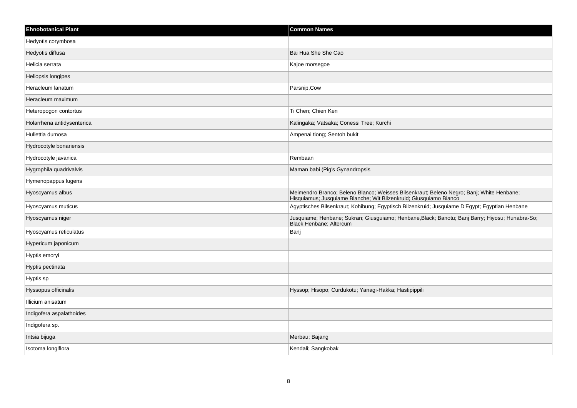| <b>Ehnobotanical Plant</b> | <b>Common Names</b>                                                                                                                                           |
|----------------------------|---------------------------------------------------------------------------------------------------------------------------------------------------------------|
| Hedyotis corymbosa         |                                                                                                                                                               |
| Hedyotis diffusa           | Bai Hua She She Cao                                                                                                                                           |
| Helicia serrata            | Kajoe morsegoe                                                                                                                                                |
| Heliopsis longipes         |                                                                                                                                                               |
| Heracleum lanatum          | Parsnip, Cow                                                                                                                                                  |
| Heracleum maximum          |                                                                                                                                                               |
| Heteropogon contortus      | Ti Chen; Chien Ken                                                                                                                                            |
| Holarrhena antidysenterica | Kalingaka; Vatsaka; Conessi Tree; Kurchi                                                                                                                      |
| Hullettia dumosa           | Ampenai tiong; Sentoh bukit                                                                                                                                   |
| Hydrocotyle bonariensis    |                                                                                                                                                               |
| Hydrocotyle javanica       | Rembaan                                                                                                                                                       |
| Hygrophila quadrivalvis    | Maman babi (Pig's Gynandropsis                                                                                                                                |
| Hymenopappus lugens        |                                                                                                                                                               |
| Hyoscyamus albus           | Meimendro Branco; Beleno Blanco; Weisses Bilsenkraut; Beleno Negro; Banj; White Henbane;<br>Hisquiamus; Jusquiame Blanche; Wit Bilzenkruid; Giusquiamo Bianco |
| Hyoscyamus muticus         | Agyptisches Bilsenkraut; Kohibung; Egyptisch Bilzenkruid; Jusquiame D'Egypt; Egyptian Henbane                                                                 |
| Hyoscyamus niger           | Jusquiame; Henbane; Sukran; Giusguiamo; Henbane, Black; Banotu; Banj Barry; Hiyosu; Hunabra-So;<br><b>Black Henbane: Altercum</b>                             |
| Hyoscyamus reticulatus     | Banj                                                                                                                                                          |
| Hypericum japonicum        |                                                                                                                                                               |
| Hyptis emoryi              |                                                                                                                                                               |
| Hyptis pectinata           |                                                                                                                                                               |
| Hyptis sp                  |                                                                                                                                                               |
| Hyssopus officinalis       | Hyssop; Hisopo; Curdukotu; Yanagi-Hakka; Hastipippili                                                                                                         |
| Illicium anisatum          |                                                                                                                                                               |
| Indigofera aspalathoides   |                                                                                                                                                               |
| Indigofera sp.             |                                                                                                                                                               |
| Intsia bijuga              | Merbau; Bajang                                                                                                                                                |
| Isotoma longiflora         | Kendali; Sangkobak                                                                                                                                            |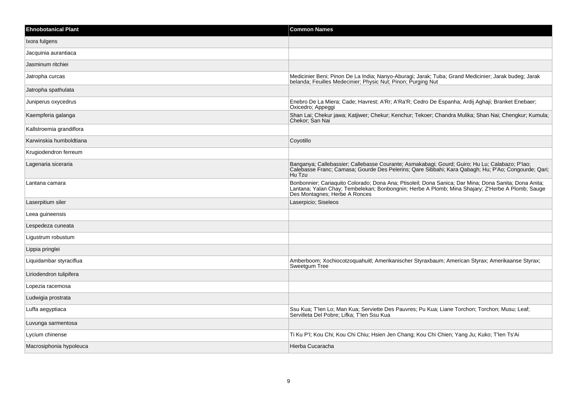| <b>Ehnobotanical Plant</b> | <b>Common Names</b>                                                                                                                                                                                                                        |
|----------------------------|--------------------------------------------------------------------------------------------------------------------------------------------------------------------------------------------------------------------------------------------|
| Ixora fulgens              |                                                                                                                                                                                                                                            |
| Jacquinia aurantiaca       |                                                                                                                                                                                                                                            |
| Jasminum ritchiei          |                                                                                                                                                                                                                                            |
| Jatropha curcas            | Medicinier Beni; Pinon De La India; Nanyo-Aburagi; Jarak; Tuba; Grand Medicinier; Jarak budeg; Jarak<br>belanda; Feuilles Medecinier; Physic Nut; Pinon; Purging Nut                                                                       |
| Jatropha spathulata        |                                                                                                                                                                                                                                            |
| Juniperus oxycedrus        | Enebro De La Miera; Cade; Havrest; A'Rr; A'Ra'R; Cedro De Espanha; Ardij Aghaji; Branket Enebaer;<br>Oxicedro; Appeggi                                                                                                                     |
| Kaempferia galanga         | Shan Lai; Chekur jawa; Katjiwer; Chekur; Kenchur; Tekoer; Chandra Mulika; Shan Nai; Chengkur; Kumula;<br>Chekor; San Nai                                                                                                                   |
| Kallstroemia grandiflora   |                                                                                                                                                                                                                                            |
| Karwinskia humboldtiana    | Coyotillo                                                                                                                                                                                                                                  |
| Krugiodendron ferreum      |                                                                                                                                                                                                                                            |
| Lagenaria siceraria        | Banganya; Callebassier; Callebasse Courante; Asmakabagi; Gourd; Guiro; Hu Lu; Calabazo; P'lao;<br>Calebasse Franc; Camasa; Gourde Des Pelerins; Qare Sibbahi; Kara Qabagh; Hu; P'Ao; Congourde; Qari;<br>Hu Tzu                            |
| Lantana camara             | Bonbonnier; Cariaquito Colorado; Dona Ana; Ptisoleil; Dona Sanica; Dar Mina; Dona Sanita; Dona Anita;<br>Lantana; Yalan Chay; Tembelekan; Bonbongnin; Herbe A Plomb; Mina Shajary; Z'Herbe A Plomb; Sauge<br>Des Montagnes; Herbe A Ronces |
| Laserpitium siler          | Laserpicio; Siseleos                                                                                                                                                                                                                       |
| Leea guineensis            |                                                                                                                                                                                                                                            |
| Lespedeza cuneata          |                                                                                                                                                                                                                                            |
| Ligustrum robustum         |                                                                                                                                                                                                                                            |
| Lippia pringlei            |                                                                                                                                                                                                                                            |
| Liquidambar styraciflua    | Amberboom; Xochiocotzoquahuitl; Amerikanischer Styraxbaum; American Styrax; Amerikaanse Styrax;<br>Sweetgum Tree                                                                                                                           |
| Liriodendron tulipifera    |                                                                                                                                                                                                                                            |
| Lopezia racemosa           |                                                                                                                                                                                                                                            |
| Ludwigia prostrata         |                                                                                                                                                                                                                                            |
| Luffa aegyptiaca           | Ssu Kua; T'len Lo; Man Kua; Serviette Des Pauvres; Pu Kua; Liane Torchon; Torchon; Musu; Leaf;<br>Servilleta Del Pobre; Lifka; T'len Ssu Kua                                                                                               |
| Luvunga sarmentosa         |                                                                                                                                                                                                                                            |
| Lycium chinense            | Ti Ku P'I; Kou Chi; Kou Chi Chiu; Hsien Jen Chang; Kou Chi Chien; Yang Ju; Kuko; T'len Ts'Ai                                                                                                                                               |
| Macrosiphonia hypoleuca    | Hierba Cucaracha                                                                                                                                                                                                                           |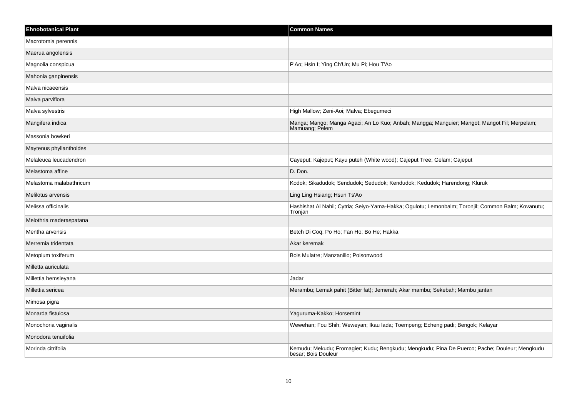| <b>Ehnobotanical Plant</b> | <b>Common Names</b>                                                                                                  |
|----------------------------|----------------------------------------------------------------------------------------------------------------------|
| Macrotomia perennis        |                                                                                                                      |
| Maerua angolensis          |                                                                                                                      |
| Magnolia conspicua         | P'Ao; Hsin I; Ying Ch'Un; Mu Pi; Hou T'Ao                                                                            |
| Mahonia ganpinensis        |                                                                                                                      |
| Malva nicaeensis           |                                                                                                                      |
| Malva parviflora           |                                                                                                                      |
| Malva sylvestris           | High Mallow; Zeni-Aoi; Malva; Ebegumeci                                                                              |
| Mangifera indica           | Manga; Mango; Manga Agaci; An Lo Kuo; Anbah; Mangga; Manguier; Mangot; Mangot Fil; Merpelam;<br>Mamuang; Pelem       |
| Massonia bowkeri           |                                                                                                                      |
| Maytenus phyllanthoides    |                                                                                                                      |
| Melaleuca leucadendron     | Cayeput; Kajeput; Kayu puteh (White wood); Cajeput Tree; Gelam; Cajeput                                              |
| Melastoma affine           | D. Don.                                                                                                              |
| Melastoma malabathricum    | Kodok; Sikadudok; Sendudok; Sedudok; Kendudok; Kedudok; Harendong; Kluruk                                            |
| Melilotus arvensis         | Ling Ling Hsiang; Hsun Ts'Ao                                                                                         |
| Melissa officinalis        | Hashishat Al Nahil; Cytria; Seiyo-Yama-Hakka; Ogulotu; Lemonbalm; Toronjil; Common Balm; Kovanutu;<br>Tronjan        |
| Melothria maderaspatana    |                                                                                                                      |
| Mentha arvensis            | Betch Di Coq; Po Ho; Fan Ho; Bo He; Hakka                                                                            |
| Merremia tridentata        | Akar keremak                                                                                                         |
| Metopium toxiferum         | Bois Mulatre; Manzanillo; Poisonwood                                                                                 |
| Milletta auriculata        |                                                                                                                      |
| Millettia hemsleyana       | Jadar                                                                                                                |
| Millettia sericea          | Merambu; Lemak pahit (Bitter fat); Jemerah; Akar mambu; Sekebah; Mambu jantan                                        |
| Mimosa pigra               |                                                                                                                      |
| Monarda fistulosa          | Yaguruma-Kakko; Horsemint                                                                                            |
| Monochoria vaginalis       | Wewehan; Fou Shih; Weweyan; Ikau lada; Toempeng; Echeng padi; Bengok; Kelayar                                        |
| Monodora tenuifolia        |                                                                                                                      |
| Morinda citrifolia         | Kemudu; Mekudu; Fromagier; Kudu; Bengkudu; Mengkudu; Pina De Puerco; Pache; Douleur; Mengkudu<br>besar; Bois Douleur |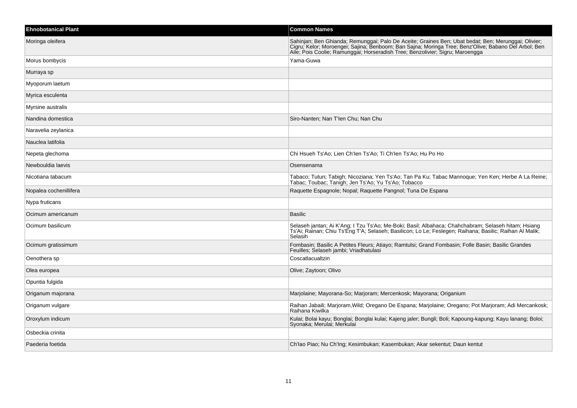| <b>Ehnobotanical Plant</b> | <b>Common Names</b>                                                                                                                                                                                                                                                                          |
|----------------------------|----------------------------------------------------------------------------------------------------------------------------------------------------------------------------------------------------------------------------------------------------------------------------------------------|
| Moringa oleifera           | Sahinjan; Ben Ghianda; Remunggai; Palo De Aceite; Graines Ben; Ubat bedat; Ben; Merunggai; Olivier;<br>Cigru; Kelor; Moroengei; Sajina; Benboom; Ban Sajna; Moringa Tree; Benz'Olive; Babano Del Arbol; Ben<br>Aile; Pois Coolie; Ramunggai; Horseradish Tree; Benzolivier; Sigru; Maroengga |
| Morus bombycis             | Yama-Guwa                                                                                                                                                                                                                                                                                    |
| Murraya sp                 |                                                                                                                                                                                                                                                                                              |
| Myoporum laetum            |                                                                                                                                                                                                                                                                                              |
| Myrica esculenta           |                                                                                                                                                                                                                                                                                              |
| Myrsine australis          |                                                                                                                                                                                                                                                                                              |
| Nandina domestica          | Siro-Nanten; Nan T'len Chu; Nan Chu                                                                                                                                                                                                                                                          |
| Naravelia zeylanica        |                                                                                                                                                                                                                                                                                              |
| Nauclea latifolia          |                                                                                                                                                                                                                                                                                              |
| Nepeta glechoma            | Chi Hsueh Ts'Ao; Lien Ch'len Ts'Ao; Ti Ch'len Ts'Ao; Hu Po Ho                                                                                                                                                                                                                                |
| Newbouldia laevis          | Osensenama                                                                                                                                                                                                                                                                                   |
| Nicotiana tabacum          | Tabaco; Tutun; Tabigh; Nicoziana; Yen Ts'Ao; Tan Pa Ku; Tabac Mannoque; Yen Ken; Herbe A La Reine;<br>Tabac; Toubac; Tanigh; Jen Ts'Ao; Yu Ts'Ao; Tobacco                                                                                                                                    |
| Nopalea cochenillifera     | Raquette Espagnole; Nopal; Raquette Pangnol; Tuna De Espana                                                                                                                                                                                                                                  |
| Nypa fruticans             |                                                                                                                                                                                                                                                                                              |
| Ocimum americanum          | <b>Basilic</b>                                                                                                                                                                                                                                                                               |
| Ocimum basilicum           | Selaseh jantan; Ai K'Ang; I Tzu Ts'Ao; Me-Boki; Basil; Albahaca; Chahchabram; Selaseh hitam; Hsiang<br>Ts'Ai; Rainan; Chiu Ts'Eng T'A; Selaseh; Basilicon; Lo Le; Feslegen; Raihana; Basilic; Raihan Al Malik;<br>Selasih                                                                    |
| Ocimum gratissimum         | Fombasin; Basilic A Petites Fleurs; Atiayo; Ramtulsi; Grand Fombasin; Folle Basin; Basilic Grandes<br>Feuilles; Selaseh jambi; Vriadhatulasi                                                                                                                                                 |
| Oenothera sp               | Coscatlacualtzin                                                                                                                                                                                                                                                                             |
| Olea europea               | Olive; Zaytoon; Olivo                                                                                                                                                                                                                                                                        |
| Opuntia fulgida            |                                                                                                                                                                                                                                                                                              |
| Origanum majorana          | Marjolaine; Mayorana-So; Marjoram; Mercenkosk; Mayorana; Origanium                                                                                                                                                                                                                           |
| Origanum vulgare           | Raihan Jabaili; Marjoram, Wild; Oregano De Espana; Marjolaine; Oregano; Pot Marjoram; Adi Mercankosk;<br>Raihana Kiwilka                                                                                                                                                                     |
| Oroxylum indicum           | Kulai; Bolai kayu; Bonglai; Bonglai kulai; Kajeng jaler; Bungli; Boli; Kapoung-kapung; Kayu lanang; Boloi;<br>Syonaka; Merulai; Merkulai                                                                                                                                                     |
| Osbeckia crinita           |                                                                                                                                                                                                                                                                                              |
| Paederia foetida           | Ch'lao Piao; Nu Ch'lng; Kesimbukan; Kasembukan; Akar sekentut; Daun kentut                                                                                                                                                                                                                   |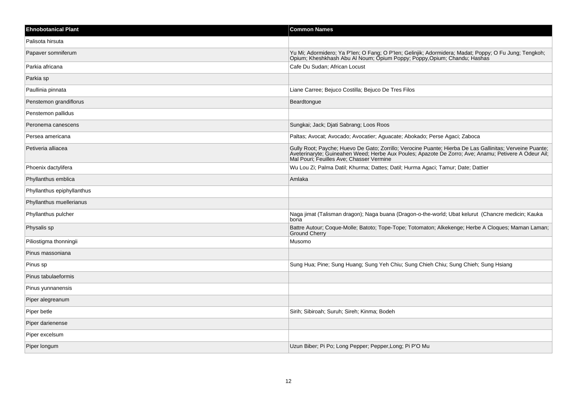| <b>Ehnobotanical Plant</b> | <b>Common Names</b>                                                                                                                                                                                                                                          |
|----------------------------|--------------------------------------------------------------------------------------------------------------------------------------------------------------------------------------------------------------------------------------------------------------|
| Palisota hirsuta           |                                                                                                                                                                                                                                                              |
| Papaver somniferum         | Yu Mi; Adormidero; Ya P'len; O Fang; O P'len; Gelinjik; Adormidera; Madat; Poppy; O Fu Jung; Tengkoh;<br>Opium; Kheshkhash Abu Al Noum; Opium Poppy; Poppy, Opium; Chandu; Hashas                                                                            |
| Parkia africana            | Cafe Du Sudan; African Locust                                                                                                                                                                                                                                |
| Parkia sp                  |                                                                                                                                                                                                                                                              |
| Paullinia pinnata          | Liane Carree; Bejuco Costilla; Bejuco De Tres Filos                                                                                                                                                                                                          |
| Penstemon grandiflorus     | Beardtongue                                                                                                                                                                                                                                                  |
| Penstemon pallidus         |                                                                                                                                                                                                                                                              |
| Peronema canescens         | Sungkai; Jack; Djati Sabrang; Loos Roos                                                                                                                                                                                                                      |
| Persea americana           | Paltas; Avocat; Avocado; Avocatier; Aguacate; Abokado; Perse Agaci; Zaboca                                                                                                                                                                                   |
| Petiveria alliacea         | Gully Root; Payche; Huevo De Gato; Zorrillo; Verocine Puante; Hierba De Las Gallinitas; Verveine Puante;<br>Aveterinaryte; Guineahen Weed; Herbe Aux Poules; Apazote De Zorro; Ave; Anamu; Petivere A Odeur Ail;<br>Mal Pouri; Feuilles Ave; Chasser Vermine |
| Phoenix dactylifera        | Wu Lou Zi; Palma Datil; Khurma; Dattes; Datil; Hurma Agaci; Tamur; Date; Dattier                                                                                                                                                                             |
| Phyllanthus emblica        | Amlaka                                                                                                                                                                                                                                                       |
| Phyllanthus epiphyllanthus |                                                                                                                                                                                                                                                              |
| Phyllanthus muellerianus   |                                                                                                                                                                                                                                                              |
| Phyllanthus pulcher        | Naga jimat (Talisman dragon); Naga buana (Dragon-o-the-world; Ubat kelurut (Chancre medicin; Kauka<br>bona                                                                                                                                                   |
| Physalis sp                | Battre Autour; Coque-Molle; Batoto; Tope-Tope; Totomaton; Alkekenge; Herbe A Cloques; Maman Laman;<br><b>Ground Cherry</b>                                                                                                                                   |
| Piliostigma thonningii     | Musomo                                                                                                                                                                                                                                                       |
| Pinus massoniana           |                                                                                                                                                                                                                                                              |
| Pinus sp                   | Sung Hua; Pine; Sung Huang; Sung Yeh Chiu; Sung Chieh Chiu; Sung Chieh; Sung Hsiang                                                                                                                                                                          |
| Pinus tabulaeformis        |                                                                                                                                                                                                                                                              |
| Pinus yunnanensis          |                                                                                                                                                                                                                                                              |
| Piper alegreanum           |                                                                                                                                                                                                                                                              |
| Piper betle                | Sirih; Sibiroah; Suruh; Sireh; Kinma; Bodeh                                                                                                                                                                                                                  |
| Piper darienense           |                                                                                                                                                                                                                                                              |
| Piper excelsum             |                                                                                                                                                                                                                                                              |
| Piper longum               | Uzun Biber; Pi Po; Long Pepper; Pepper, Long; Pi P'O Mu                                                                                                                                                                                                      |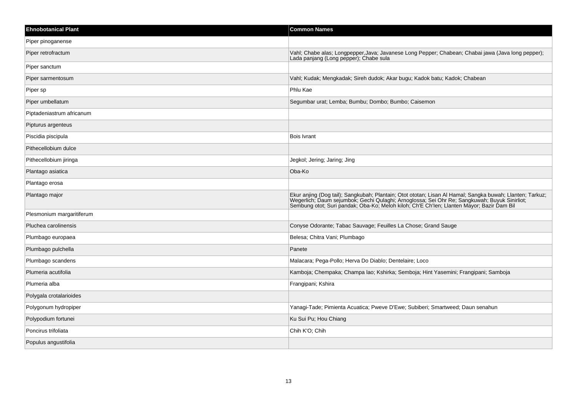| <b>Ehnobotanical Plant</b> | <b>Common Names</b>                                                                                                                                                                                                                                                                                   |
|----------------------------|-------------------------------------------------------------------------------------------------------------------------------------------------------------------------------------------------------------------------------------------------------------------------------------------------------|
| Piper pinoganense          |                                                                                                                                                                                                                                                                                                       |
| Piper retrofractum         | Vahl; Chabe alas; Longpepper, Java; Javanese Long Pepper; Chabean; Chabai jawa (Java long pepper);<br>Lada panjang (Long pepper); Chabe sula                                                                                                                                                          |
| Piper sanctum              |                                                                                                                                                                                                                                                                                                       |
| Piper sarmentosum          | Vahl; Kudak; Mengkadak; Sireh dudok; Akar bugu; Kadok batu; Kadok; Chabean                                                                                                                                                                                                                            |
| Piper sp                   | Phlu Kae                                                                                                                                                                                                                                                                                              |
| Piper umbellatum           | Segumbar urat; Lemba; Bumbu; Dombo; Bumbo; Caisemon                                                                                                                                                                                                                                                   |
| Piptadeniastrum africanum  |                                                                                                                                                                                                                                                                                                       |
| Pipturus argenteus         |                                                                                                                                                                                                                                                                                                       |
| Piscidia piscipula         | <b>Bois Ivrant</b>                                                                                                                                                                                                                                                                                    |
| Pithecellobium dulce       |                                                                                                                                                                                                                                                                                                       |
| Pithecellobium jiringa     | Jegkol; Jering; Jaring; Jing                                                                                                                                                                                                                                                                          |
| Plantago asiatica          | Oba-Ko                                                                                                                                                                                                                                                                                                |
| Plantago erosa             |                                                                                                                                                                                                                                                                                                       |
| Plantago major             | Ekur anjing (Dog tail); Sangkubah; Plantain; Otot ototan; Lisan Al Hamal; Sangka buwah; Llanten; Tarkuz;<br>University Daum sejumbok; Gechi Qulaghi; Arnoglossa; Sei Ohr Re; Sangkuwah; Buyuk Sinirliot;<br>Sembung otot; Suri pandak; Oba-Ko; Meloh kiloh; Ch'E Ch'Ien; Llanten Mayor; Bazir Dam Bil |
| Plesmonium margaritiferum  |                                                                                                                                                                                                                                                                                                       |
| Pluchea carolinensis       | Conyse Odorante; Tabac Sauvage; Feuilles La Chose; Grand Sauge                                                                                                                                                                                                                                        |
| Plumbago europaea          | Belesa; Chitra Vani; Plumbago                                                                                                                                                                                                                                                                         |
| Plumbago pulchella         | Panete                                                                                                                                                                                                                                                                                                |
| Plumbago scandens          | Malacara; Pega-Pollo; Herva Do Diablo; Dentelaire; Loco                                                                                                                                                                                                                                               |
| Plumeria acutifolia        | Kamboja; Chempaka; Champa lao; Kshirka; Semboja; Hint Yasemini; Frangipani; Samboja                                                                                                                                                                                                                   |
| Plumeria alba              | Frangipani; Kshira                                                                                                                                                                                                                                                                                    |
| Polygala crotalarioides    |                                                                                                                                                                                                                                                                                                       |
| Polygonum hydropiper       | Yanagi-Tade; Pimienta Acuatica; Pweve D'Ewe; Subiberi; Smartweed; Daun senahun                                                                                                                                                                                                                        |
| Polypodium fortunei        | Ku Sui Pu; Hou Chiang                                                                                                                                                                                                                                                                                 |
| Poncirus trifoliata        | Chih K'O; Chih                                                                                                                                                                                                                                                                                        |
| Populus angustifolia       |                                                                                                                                                                                                                                                                                                       |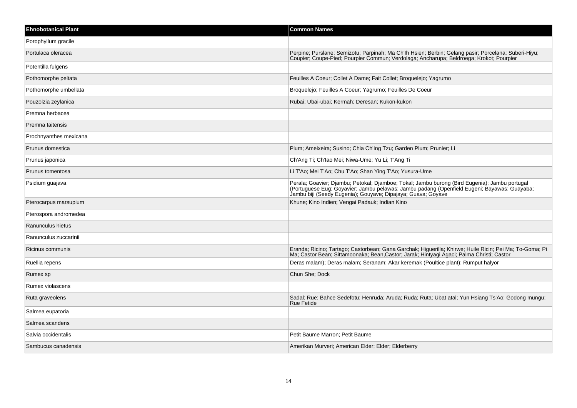| <b>Ehnobotanical Plant</b> | <b>Common Names</b>                                                                                                                                                                                                                                          |
|----------------------------|--------------------------------------------------------------------------------------------------------------------------------------------------------------------------------------------------------------------------------------------------------------|
| Porophyllum gracile        |                                                                                                                                                                                                                                                              |
| Portulaca oleracea         | Perpine; Purslane; Semizotu; Parpinah; Ma Ch'lh Hsien; Berbin; Gelang pasir; Porcelana; Suberi-Hiyu;<br>Coupier; Coupe-Pied; Pourpier Commun; Verdolaga; Ancharupa; Beldroega; Krokot; Pourpier                                                              |
| Potentilla fulgens         |                                                                                                                                                                                                                                                              |
| Pothomorphe peltata        | Feuilles A Coeur; Collet A Dame; Fait Collet; Broquelejo; Yagrumo                                                                                                                                                                                            |
| Pothomorphe umbellata      | Broquelejo; Feuilles A Coeur; Yagrumo; Feuilles De Coeur                                                                                                                                                                                                     |
| Pouzolzia zeylanica        | Rubai; Ubai-ubai; Kermah; Deresan; Kukon-kukon                                                                                                                                                                                                               |
| Premna herbacea            |                                                                                                                                                                                                                                                              |
| Premna taitensis           |                                                                                                                                                                                                                                                              |
| Prochnyanthes mexicana     |                                                                                                                                                                                                                                                              |
| Prunus domestica           | Plum; Ameixeira; Susino; Chia Ch'Ing Tzu; Garden Plum; Prunier; Li                                                                                                                                                                                           |
| Prunus japonica            | Ch'Ang Ti: Ch'Iao Mei: Niwa-Ume: Yu Li: T'Ang Ti                                                                                                                                                                                                             |
| Prunus tomentosa           | Li T'Ao; Mei T'Ao; Chu T'Ao; Shan Ying T'Ao; Yusura-Ume                                                                                                                                                                                                      |
| Psidium guajava            | Perala; Goavier; Djambu; Petokal; Djamboe; Tokal; Jambu burong (Bird Eugenia); Jambu portugal<br>(Portuguese Eug; Goyavier; Jambu pelawas; Jambu padang (Openfield Eugeni; Bayawas; Guayaba;<br>Jambu biji (Seedy Eugenia); Gouyave; Dipajaya; Guava; Goyave |
| Pterocarpus marsupium      | Khune; Kino Indien; Vengai Padauk; Indian Kino                                                                                                                                                                                                               |
| Pterospora andromedea      |                                                                                                                                                                                                                                                              |
| Ranunculus hietus          |                                                                                                                                                                                                                                                              |
| Ranunculus zuccarinii      |                                                                                                                                                                                                                                                              |
| Ricinus communis           | Eranda; Ricino; Tartago; Castorbean; Gana Garchak; Higuerilla; Khirwe; Huile Ricin; Pei Ma; To-Goma; Pi<br>Ma; Castor Bean; Sittamoonaka; Bean, Castor; Jarak; Hintyagi Agaci; Palma Christi; Castor                                                         |
| Ruellia repens             | Deras malam); Deras malam; Seranam; Akar keremak (Poultice plant); Rumput halyor                                                                                                                                                                             |
| Rumex sp                   | Chun She; Dock                                                                                                                                                                                                                                               |
| Rumex violascens           |                                                                                                                                                                                                                                                              |
| Ruta graveolens            | Sadal; Rue; Bahce Sedefotu; Henruda; Aruda; Ruda; Ruta; Ubat atal; Yun Hsiang Ts'Ao; Godong mungu;<br><b>Rue Fetide</b>                                                                                                                                      |
| Salmea eupatoria           |                                                                                                                                                                                                                                                              |
| Salmea scandens            |                                                                                                                                                                                                                                                              |
| Salvia occidentalis        | Petit Baume Marron; Petit Baume                                                                                                                                                                                                                              |
| Sambucus canadensis        | Amerikan Murveri; American Elder; Elder; Elderberry                                                                                                                                                                                                          |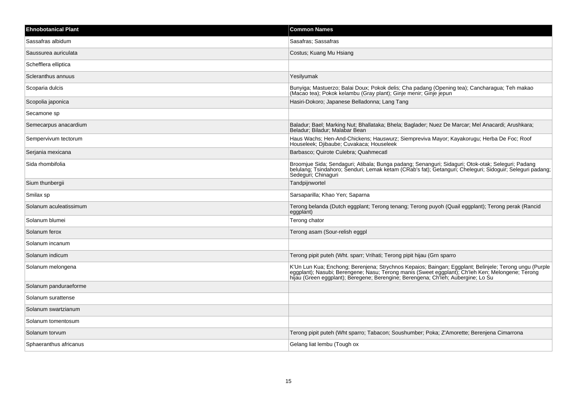| <b>Ehnobotanical Plant</b> | <b>Common Names</b>                                                                                                                                                                                                                                                                             |
|----------------------------|-------------------------------------------------------------------------------------------------------------------------------------------------------------------------------------------------------------------------------------------------------------------------------------------------|
| Sassafras albidum          | Sasafras: Sassafras                                                                                                                                                                                                                                                                             |
| Saussurea auriculata       | Costus; Kuang Mu Hsiang                                                                                                                                                                                                                                                                         |
| Schefflera elliptica       |                                                                                                                                                                                                                                                                                                 |
| Scleranthus annuus         | Yesilyumak                                                                                                                                                                                                                                                                                      |
| Scoparia dulcis            | Bunyiga; Mastuerzo; Balai Doux; Pokok delis; Cha padang (Opening tea); Cancharagua; Teh makao<br>(Macao tea); Pokok kelambu (Gray plant); Ginje menir; Ginje jepun                                                                                                                              |
| Scopolia japonica          | Hasiri-Dokoro; Japanese Belladonna; Lang Tang                                                                                                                                                                                                                                                   |
| Secamone sp                |                                                                                                                                                                                                                                                                                                 |
| Semecarpus anacardium      | Baladur; Bael; Marking Nut; Bhallataka; Bhela; Baglader; Nuez De Marcar; Mel Anacardi; Arushkara;<br>Beladur; Biladur; Malabar Bean                                                                                                                                                             |
| Sempervivum tectorum       | Haus Wachs; Hen-And-Chickens; Hauswurz; Siempreviva Mayor; Kayakorugu; Herba De Foc; Roof<br>Houseleek; Djibaube; Cuvakaca; Houseleek                                                                                                                                                           |
| Serjania mexicana          | Barbasco; Quirote Culebra; Quahmecatl                                                                                                                                                                                                                                                           |
| Sida rhombifolia           | Broomjue Sida; Sendaguri; Atibala; Bunga padang; Senanguri; Sidaguri; Otok-otak; Seleguri; Padang<br>belulang; Tsindahoro; Šenduri; Lemak ketam (CRab's fat); Getanguri; Cheleguri; Sidoguir; Seleguri padang;<br>Sedeguri; Chinaguri                                                           |
| Sium thunbergii            | Tandpijnwortel                                                                                                                                                                                                                                                                                  |
| Smilax sp                  | Sarsaparilla; Khao Yen; Saparna                                                                                                                                                                                                                                                                 |
| Solanum aculeatissimum     | Terong belanda (Dutch eggplant; Terong tenang; Terong puyoh (Quail eggplant); Terong perak (Rancid<br>eggplant)                                                                                                                                                                                 |
| Solanum blumei             | Terong chator                                                                                                                                                                                                                                                                                   |
| Solanum ferox              | Terong asam (Sour-relish eggpl                                                                                                                                                                                                                                                                  |
| Solanum incanum            |                                                                                                                                                                                                                                                                                                 |
| Solanum indicum            | Terong pipit puteh (Wht. sparr; Vrihati; Terong pipit hijau (Grn sparro                                                                                                                                                                                                                         |
| Solanum melongena          | K'Un Lun Kua; Enchong; Berenjena; Strychnos Kepaios; Baingan; Eggplant; Belinjele; Terong ungu (Purple<br> eggplant); Nasubi; Berengene; Nasu; Terong manis (Sweet eggplant); Ch'leh Ken; Melongene; Terong<br>hijau (Green eggplant); Beregene; Berengine; Berengena; Ch'leh; Aubergine; Lo Su |
| Solanum panduraeforme      |                                                                                                                                                                                                                                                                                                 |
| Solanum surattense         |                                                                                                                                                                                                                                                                                                 |
| Solanum swartzianum        |                                                                                                                                                                                                                                                                                                 |
| Solanum tomentosum         |                                                                                                                                                                                                                                                                                                 |
| Solanum torvum             | Terong pipit puteh (Wht sparro; Tabacon; Soushumber; Poka; Z'Amorette; Berenjena Cimarrona                                                                                                                                                                                                      |
| Sphaeranthus africanus     | Gelang liat lembu (Tough ox                                                                                                                                                                                                                                                                     |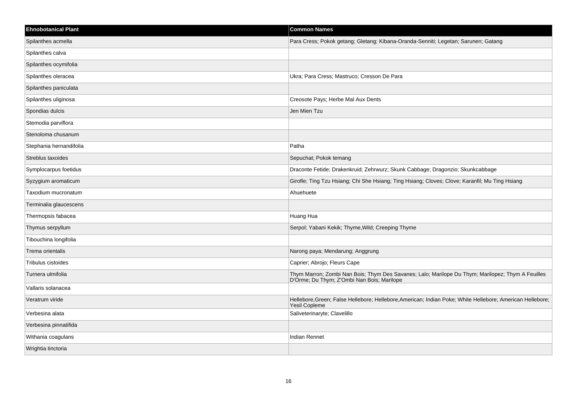| <b>Ehnobotanical Plant</b> | <b>Common Names</b>                                                                                                                             |
|----------------------------|-------------------------------------------------------------------------------------------------------------------------------------------------|
| Spilanthes acmella         | Para Cress; Pokok getang; Gletang; Kibana-Oranda-Senniti; Legetan; Sarunen; Gatang                                                              |
| Spilanthes calva           |                                                                                                                                                 |
| Spilanthes ocymifolia      |                                                                                                                                                 |
| Spilanthes oleracea        | Ukra; Para Cress; Mastruco; Cresson De Para                                                                                                     |
| Spilanthes paniculata      |                                                                                                                                                 |
| Spilanthes uliginosa       | Creosote Pays; Herbe Mal Aux Dents                                                                                                              |
| Spondias dulcis            | Jen Mien Tzu                                                                                                                                    |
| Stemodia parviflora        |                                                                                                                                                 |
| Stenoloma chusanum         |                                                                                                                                                 |
| Stephania hernandifolia    | Patha                                                                                                                                           |
| Streblus taxoides          | Sepuchat; Pokok temang                                                                                                                          |
| Symplocarpus foetidus      | Draconte Fetide; Drakenkruid; Zehrwurz; Skunk Cabbage; Dragonzio; Skunkcabbage                                                                  |
| Syzygium aromaticum        | Girofle; Ting Tzu Hsiang; Chi She Hsiang; Ting Hsiang; Cloves; Clove; Karanfil; Mu Ting Hsiang                                                  |
| Taxodium mucronatum        | Ahuehuete                                                                                                                                       |
| Terminalia glaucescens     |                                                                                                                                                 |
| Thermopsis fabacea         | Huang Hua                                                                                                                                       |
| Thymus serpyllum           | Serpol; Yabani Kekik; Thyme, Wild; Creeping Thyme                                                                                               |
| Tibouchina longifolia      |                                                                                                                                                 |
| Trema orientalis           | Narong paya; Mendarung; Anggrung                                                                                                                |
| Tribulus cistoides         | Caprier; Abrojo; Fleurs Cape                                                                                                                    |
| Turnera ulmifolia          | Thym Marron; Zombi Nan Bois; Thym Des Savanes; Lalo; Marilope Du Thym; Marilopez; Thym A Feuilles<br>D'Orme; Du Thym; Z'Ombi Nan Bois; Marilope |
| Vallaris solanacea         |                                                                                                                                                 |
| Veratrum viride            | Hellebore, Green; False Hellebore; Hellebore, American; Indian Poke; White Hellebore; American Hellebore;<br>Yesil Copleme                      |
| Verbesina alata            | Saliveterinaryte; Clavelillo                                                                                                                    |
| Verbesina pinnatifida      |                                                                                                                                                 |
| Withania coagulans         | <b>Indian Rennet</b>                                                                                                                            |
| Wrightia tinctoria         |                                                                                                                                                 |